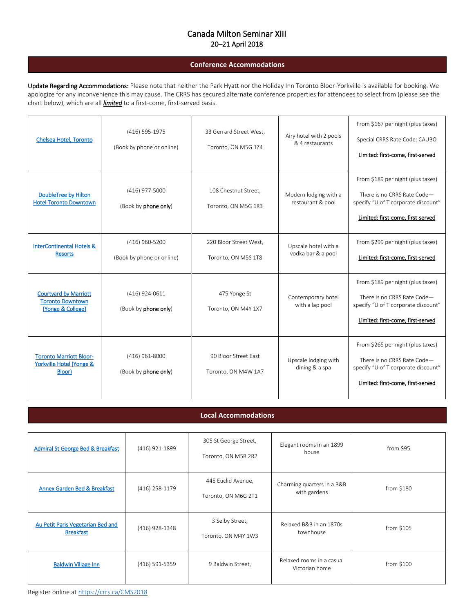## Canada Milton Seminar XIII 20–21 April 2018

## **Conference Accommodations**

Update Regarding Accommodations: Please note that neither the Park Hyatt nor the Holiday Inn Toronto Bloor-Yorkville is available for booking. We apologize for any inconvenience this may cause. The CRRS has secured alternate conference properties for attendees to select from (please see the chart below), which are all *limited* to a first-come, first-served basis.

| Chelsea Hotel, Toronto                                                       | (416) 595-1975<br>(Book by phone or online) | 33 Gerrard Street West,<br>Toronto, ON M5G 1Z4 | Airy hotel with 2 pools<br>& 4 restaurants | From \$167 per night (plus taxes)<br>Special CRRS Rate Code: CAUBO<br>Limited: first-come, first-served                                      |
|------------------------------------------------------------------------------|---------------------------------------------|------------------------------------------------|--------------------------------------------|----------------------------------------------------------------------------------------------------------------------------------------------|
| DoubleTree by Hilton<br><b>Hotel Toronto Downtown</b>                        | (416) 977-5000<br>(Book by phone only)      | 108 Chestnut Street,<br>Toronto, ON M5G 1R3    | Modern lodging with a<br>restaurant & pool | From \$189 per night (plus taxes)<br>There is no CRRS Rate Code-<br>specify "U of T corporate discount"<br>Limited: first-come, first-served |
| <b>InterContinental Hotels &amp;</b><br><b>Resorts</b>                       | (416) 960-5200<br>(Book by phone or online) | 220 Bloor Street West,<br>Toronto, ON M5S 1T8  | Upscale hotel with a<br>vodka bar & a pool | From \$299 per night (plus taxes)<br>Limited: first-come, first-served                                                                       |
| <b>Courtyard by Marriott</b><br><b>Toronto Downtown</b><br>(Yonge & College) | (416) 924-0611<br>(Book by phone only)      | 475 Yonge St<br>Toronto, ON M4Y 1X7            | Contemporary hotel<br>with a lap pool      | From \$189 per night (plus taxes)<br>There is no CRRS Rate Code-<br>specify "U of T corporate discount"<br>Limited: first-come, first-served |
| <b>Toronto Marriott Bloor-</b><br>Yorkville Hotel (Yonge &<br>Bloor)         | (416) 961-8000<br>(Book by phone only)      | 90 Bloor Street East<br>Toronto, ON M4W 1A7    | Upscale lodging with<br>dining & a spa     | From \$265 per night (plus taxes)<br>There is no CRRS Rate Code-<br>specify "U of T corporate discount"<br>Limited: first-come. first-served |

## **Local Accommodations**

| Admiral St George Bed & Breakfast                     | (416) 921-1899 | 305 St George Street,<br>Toronto, ON M5R 2R2 | Elegant rooms in an 1899<br>house           | from \$95  |
|-------------------------------------------------------|----------------|----------------------------------------------|---------------------------------------------|------------|
| Annex Garden Bed & Breakfast                          | (416) 258-1179 | 445 Euclid Avenue,<br>Toronto, ON M6G 2T1    | Charming quarters in a B&B<br>with gardens  | from \$180 |
| Au Petit Paris Vegetarian Bed and<br><b>Breakfast</b> | (416) 928-1348 | 3 Selby Street,<br>Toronto, ON M4Y 1W3       | Relaxed B&B in an 1870s<br>townhouse        | from \$105 |
| <b>Baldwin Village Inn</b>                            | (416) 591-5359 | 9 Baldwin Street,                            | Relaxed rooms in a casual<br>Victorian home | from \$100 |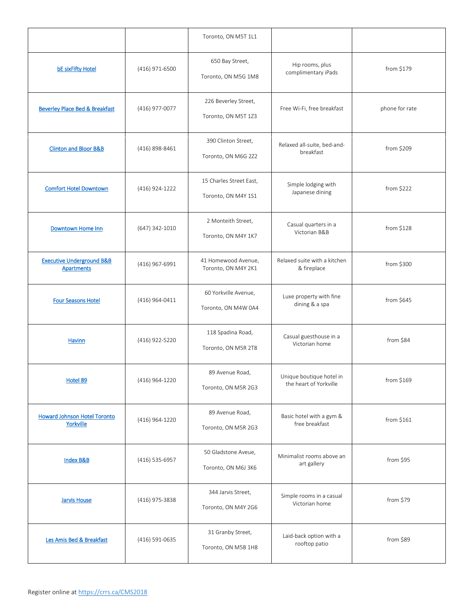|                                                           |                | Toronto, ON M5T 1L1                            |                                                    |                |
|-----------------------------------------------------------|----------------|------------------------------------------------|----------------------------------------------------|----------------|
| <b>bE sixFifty Hotel</b>                                  | (416) 971-6500 | 650 Bay Street,<br>Toronto, ON M5G 1M8         | Hip rooms, plus<br>complimentary iPads             | from \$179     |
| <b>Beverley Place Bed &amp; Breakfast</b>                 | (416) 977-0077 | 226 Beverley Street,<br>Toronto, ON M5T 1Z3    | Free Wi-Fi, free breakfast                         | phone for rate |
| <b>Clinton and Bloor B&amp;B</b>                          | (416) 898-8461 | 390 Clinton Street,<br>Toronto, ON M6G 2Z2     | Relaxed all-suite, bed-and-<br>breakfast           | from \$209     |
| <b>Comfort Hotel Downtown</b>                             | (416) 924-1222 | 15 Charles Street East,<br>Toronto, ON M4Y 1S1 | Simple lodging with<br>Japanese dining             | from \$222     |
| <b>Downtown Home Inn</b>                                  | (647) 342-1010 | 2 Monteith Street,<br>Toronto, ON M4Y 1K7      | Casual quarters in a<br>Victorian B&B              | from \$128     |
| <b>Executive Underground B&amp;B</b><br><b>Apartments</b> | (416) 967-6991 | 41 Homewood Avenue,<br>Toronto, ON M4Y 2K1     | Relaxed suite with a kitchen<br>& fireplace        | from \$300     |
| <b>Four Seasons Hotel</b>                                 | (416) 964-0411 | 60 Yorkville Avenue,<br>Toronto, ON M4W 0A4    | Luxe property with fine<br>dining & a spa          | from \$645     |
| <b>Havinn</b>                                             | (416) 922-5220 | 118 Spadina Road,<br>Toronto, ON M5R 2T8       | Casual guesthouse in a<br>Victorian home           | from \$84      |
| Hotel 89                                                  | (416) 964-1220 | 89 Avenue Road,<br>Toronto, ON M5R 2G3         | Unique boutique hotel in<br>the heart of Yorkville | from \$169     |
| <b>Howard Johnson Hotel Toronto</b><br>Yorkville          | (416) 964-1220 | 89 Avenue Road,<br>Toronto, ON M5R 2G3         | Basic hotel with a gym &<br>free breakfast         | from \$161     |
| <b>Index B&amp;B</b>                                      | (416) 535-6957 | 50 Gladstone Aveue,<br>Toronto, ON M6J 3K6     | Minimalist rooms above an<br>art gallery           | from \$95      |
| <b>Jarvis House</b>                                       | (416) 975-3838 | 344 Jarvis Street,<br>Toronto, ON M4Y 2G6      | Simple rooms in a casual<br>Victorian home         | from \$79      |
| Les Amis Bed & Breakfast                                  | (416) 591-0635 | 31 Granby Street,<br>Toronto, ON M5B 1H8       | Laid-back option with a<br>rooftop patio           | from \$89      |